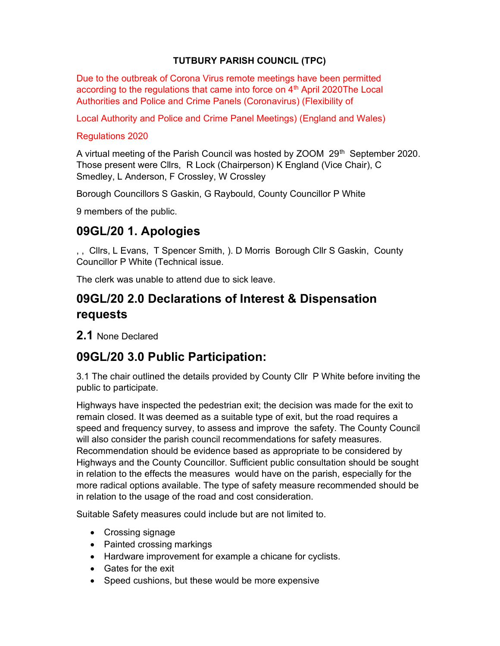### TUTBURY PARISH COUNCIL (TPC)

Due to the outbreak of Corona Virus remote meetings have been permitted according to the regulations that came into force on  $4<sup>th</sup>$  April 2020The Local Authorities and Police and Crime Panels (Coronavirus) (Flexibility of

Local Authority and Police and Crime Panel Meetings) (England and Wales)

### Regulations 2020

A virtual meeting of the Parish Council was hosted by ZOOM 29<sup>th</sup> September 2020. Those present were Cllrs, R Lock (Chairperson) K England (Vice Chair), C Smedley, L Anderson, F Crossley, W Crossley

Borough Councillors S Gaskin, G Raybould, County Councillor P White

9 members of the public.

## 09GL/20 1. Apologies

, , Cllrs, L Evans, T Spencer Smith, ). D Morris Borough Cllr S Gaskin, County Councillor P White (Technical issue.

The clerk was unable to attend due to sick leave.

## 09GL/20 2.0 Declarations of Interest & Dispensation requests

2.1 None Declared

# 09GL/20 3.0 Public Participation:

3.1 The chair outlined the details provided by County Cllr P White before inviting the public to participate.

Highways have inspected the pedestrian exit; the decision was made for the exit to remain closed. It was deemed as a suitable type of exit, but the road requires a speed and frequency survey, to assess and improve the safety. The County Council will also consider the parish council recommendations for safety measures. Recommendation should be evidence based as appropriate to be considered by Highways and the County Councillor. Sufficient public consultation should be sought in relation to the effects the measures would have on the parish, especially for the more radical options available. The type of safety measure recommended should be in relation to the usage of the road and cost consideration.

Suitable Safety measures could include but are not limited to.

- Crossing signage
- Painted crossing markings
- Hardware improvement for example a chicane for cyclists.
- Gates for the exit
- Speed cushions, but these would be more expensive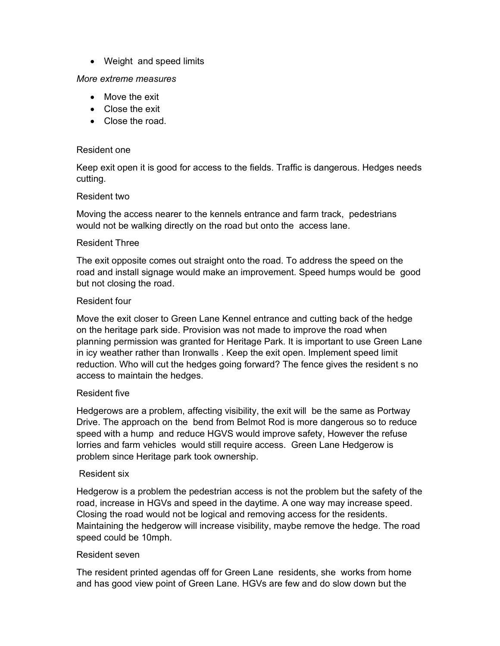• Weight and speed limits

#### More extreme measures

- Move the exit
- Close the exit
- Close the road.

#### Resident one

Keep exit open it is good for access to the fields. Traffic is dangerous. Hedges needs cutting.

#### Resident two

Moving the access nearer to the kennels entrance and farm track, pedestrians would not be walking directly on the road but onto the access lane.

#### Resident Three

The exit opposite comes out straight onto the road. To address the speed on the road and install signage would make an improvement. Speed humps would be good but not closing the road.

#### Resident four

Move the exit closer to Green Lane Kennel entrance and cutting back of the hedge on the heritage park side. Provision was not made to improve the road when planning permission was granted for Heritage Park. It is important to use Green Lane in icy weather rather than Ironwalls . Keep the exit open. Implement speed limit reduction. Who will cut the hedges going forward? The fence gives the resident s no access to maintain the hedges.

#### Resident five

Hedgerows are a problem, affecting visibility, the exit will be the same as Portway Drive. The approach on the bend from Belmot Rod is more dangerous so to reduce speed with a hump and reduce HGVS would improve safety, However the refuse lorries and farm vehicles would still require access. Green Lane Hedgerow is problem since Heritage park took ownership.

#### Resident six

Hedgerow is a problem the pedestrian access is not the problem but the safety of the road, increase in HGVs and speed in the daytime. A one way may increase speed. Closing the road would not be logical and removing access for the residents. Maintaining the hedgerow will increase visibility, maybe remove the hedge. The road speed could be 10mph.

#### Resident seven

The resident printed agendas off for Green Lane residents, she works from home and has good view point of Green Lane. HGVs are few and do slow down but the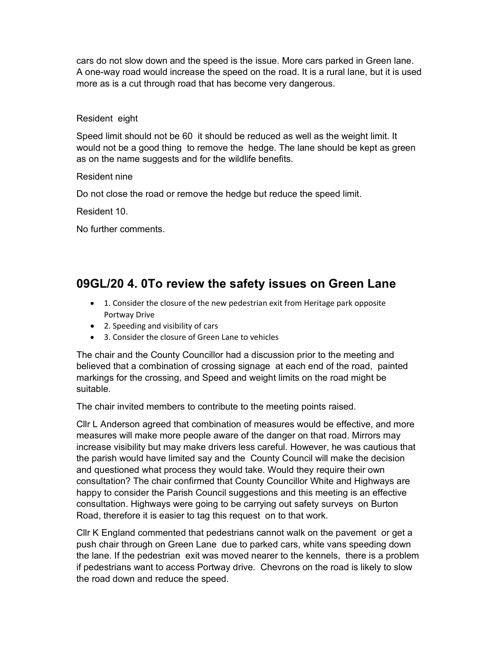cars do not slow down and the speed is the issue. More cars parked in Green lane. A one-way road would increase the speed on the road. It is a rural lane, but it is used more as is a cut through road that has become very dangerous.

### Resident eight

Speed limit should not be 60 it should be reduced as well as the weight limit. It would not be a good thing to remove the hedge. The lane should be kept as green as on the name suggests and for the wildlife benefits.

#### Resident nine

Do not close the road or remove the hedge but reduce the speed limit.

Resident 10.

No further comments.

## 09GL/20 4. 0To review the safety issues on Green Lane

- 1. Consider the closure of the new pedestrian exit from Heritage park opposite Portway Drive
- 2. Speeding and visibility of cars
- 3. Consider the closure of Green Lane to vehicles

The chair and the County Councillor had a discussion prior to the meeting and believed that a combination of crossing signage at each end of the road, painted markings for the crossing, and Speed and weight limits on the road might be suitable.

The chair invited members to contribute to the meeting points raised.

Cllr L Anderson agreed that combination of measures would be effective, and more measures will make more people aware of the danger on that road. Mirrors may increase visibility but may make drivers less careful. However, he was cautious that the parish would have limited say and the County Council will make the decision and questioned what process they would take. Would they require their own consultation? The chair confirmed that County Councillor White and Highways are happy to consider the Parish Council suggestions and this meeting is an effective consultation. Highways were going to be carrying out safety surveys on Burton Road, therefore it is easier to tag this request on to that work.

Cllr K England commented that pedestrians cannot walk on the pavement or get a push chair through on Green Lane due to parked cars, white vans speeding down the lane. If the pedestrian exit was moved nearer to the kennels, there is a problem if pedestrians want to access Portway drive. Chevrons on the road is likely to slow the road down and reduce the speed.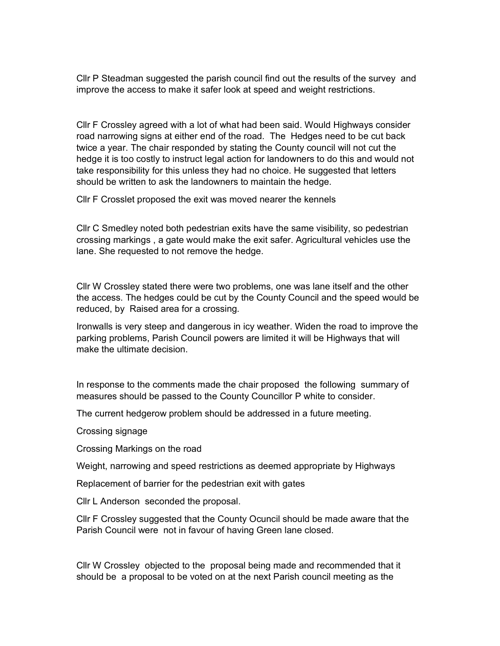Cllr P Steadman suggested the parish council find out the results of the survey and improve the access to make it safer look at speed and weight restrictions.

Cllr F Crossley agreed with a lot of what had been said. Would Highways consider road narrowing signs at either end of the road. The Hedges need to be cut back twice a year. The chair responded by stating the County council will not cut the hedge it is too costly to instruct legal action for landowners to do this and would not take responsibility for this unless they had no choice. He suggested that letters should be written to ask the landowners to maintain the hedge.

Cllr F Crosslet proposed the exit was moved nearer the kennels

Cllr C Smedley noted both pedestrian exits have the same visibility, so pedestrian crossing markings , a gate would make the exit safer. Agricultural vehicles use the lane. She requested to not remove the hedge.

Cllr W Crossley stated there were two problems, one was lane itself and the other the access. The hedges could be cut by the County Council and the speed would be reduced, by Raised area for a crossing.

Ironwalls is very steep and dangerous in icy weather. Widen the road to improve the parking problems, Parish Council powers are limited it will be Highways that will make the ultimate decision.

In response to the comments made the chair proposed the following summary of measures should be passed to the County Councillor P white to consider.

The current hedgerow problem should be addressed in a future meeting.

Crossing signage

Crossing Markings on the road

Weight, narrowing and speed restrictions as deemed appropriate by Highways

Replacement of barrier for the pedestrian exit with gates

Cllr L Anderson seconded the proposal.

Cllr F Crossley suggested that the County Ocuncil should be made aware that the Parish Council were not in favour of having Green lane closed.

Cllr W Crossley objected to the proposal being made and recommended that it should be a proposal to be voted on at the next Parish council meeting as the